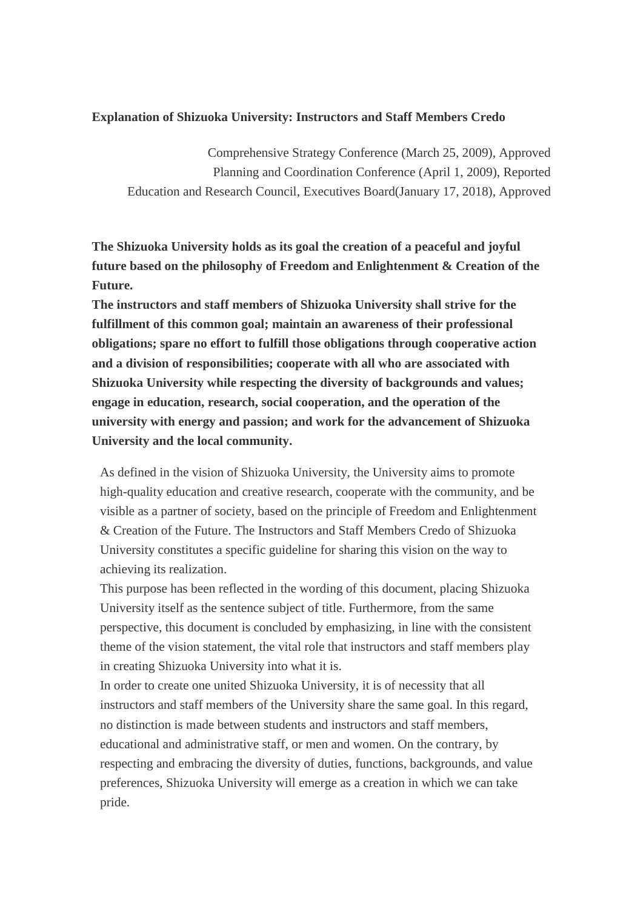#### **Explanation of Shizuoka University: Instructors and Staff Members Credo**

Comprehensive Strategy Conference (March 25, 2009), Approved Planning and Coordination Conference (April 1, 2009), Reported Education and Research Council, Executives Board(January 17, 2018), Approved

**The Shizuoka University holds as its goal the creation of a peaceful and joyful future based on the philosophy of Freedom and Enlightenment & Creation of the Future.**

**The instructors and staff members of Shizuoka University shall strive for the fulfillment of this common goal; maintain an awareness of their professional obligations; spare no effort to fulfill those obligations through cooperative action and a division of responsibilities; cooperate with all who are associated with Shizuoka University while respecting the diversity of backgrounds and values; engage in education, research, social cooperation, and the operation of the university with energy and passion; and work for the advancement of Shizuoka University and the local community.**

As defined in the vision of Shizuoka University, the University aims to promote high-quality education and creative research, cooperate with the community, and be visible as a partner of society, based on the principle of Freedom and Enlightenment & Creation of the Future. The Instructors and Staff Members Credo of Shizuoka University constitutes a specific guideline for sharing this vision on the way to achieving its realization.

This purpose has been reflected in the wording of this document, placing Shizuoka University itself as the sentence subject of title. Furthermore, from the same perspective, this document is concluded by emphasizing, in line with the consistent theme of the vision statement, the vital role that instructors and staff members play in creating Shizuoka University into what it is.

In order to create one united Shizuoka University, it is of necessity that all instructors and staff members of the University share the same goal. In this regard, no distinction is made between students and instructors and staff members, educational and administrative staff, or men and women. On the contrary, by respecting and embracing the diversity of duties, functions, backgrounds, and value preferences, Shizuoka University will emerge as a creation in which we can take pride.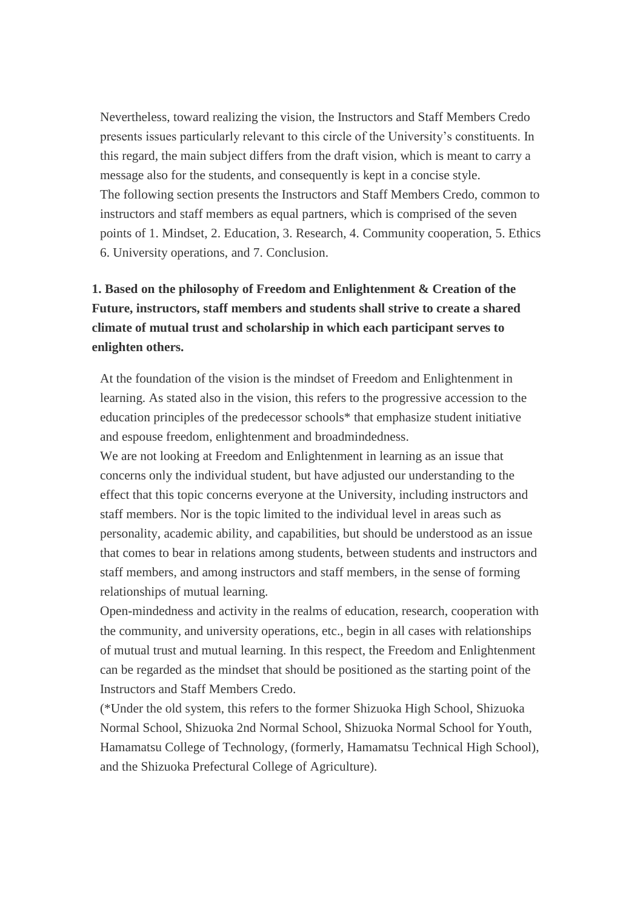Nevertheless, toward realizing the vision, the Instructors and Staff Members Credo presents issues particularly relevant to this circle of the University's constituents. In this regard, the main subject differs from the draft vision, which is meant to carry a message also for the students, and consequently is kept in a concise style. The following section presents the Instructors and Staff Members Credo, common to instructors and staff members as equal partners, which is comprised of the seven points of 1. Mindset, 2. Education, 3. Research, 4. Community cooperation, 5. Ethics 6. University operations, and 7. Conclusion.

# **1. Based on the philosophy of Freedom and Enlightenment & Creation of the Future, instructors, staff members and students shall strive to create a shared climate of mutual trust and scholarship in which each participant serves to enlighten others.**

At the foundation of the vision is the mindset of Freedom and Enlightenment in learning. As stated also in the vision, this refers to the progressive accession to the education principles of the predecessor schools\* that emphasize student initiative and espouse freedom, enlightenment and broadmindedness.

We are not looking at Freedom and Enlightenment in learning as an issue that concerns only the individual student, but have adjusted our understanding to the effect that this topic concerns everyone at the University, including instructors and staff members. Nor is the topic limited to the individual level in areas such as personality, academic ability, and capabilities, but should be understood as an issue that comes to bear in relations among students, between students and instructors and staff members, and among instructors and staff members, in the sense of forming relationships of mutual learning.

Open-mindedness and activity in the realms of education, research, cooperation with the community, and university operations, etc., begin in all cases with relationships of mutual trust and mutual learning. In this respect, the Freedom and Enlightenment can be regarded as the mindset that should be positioned as the starting point of the Instructors and Staff Members Credo.

(\*Under the old system, this refers to the former Shizuoka High School, Shizuoka Normal School, Shizuoka 2nd Normal School, Shizuoka Normal School for Youth, Hamamatsu College of Technology, (formerly, Hamamatsu Technical High School), and the Shizuoka Prefectural College of Agriculture).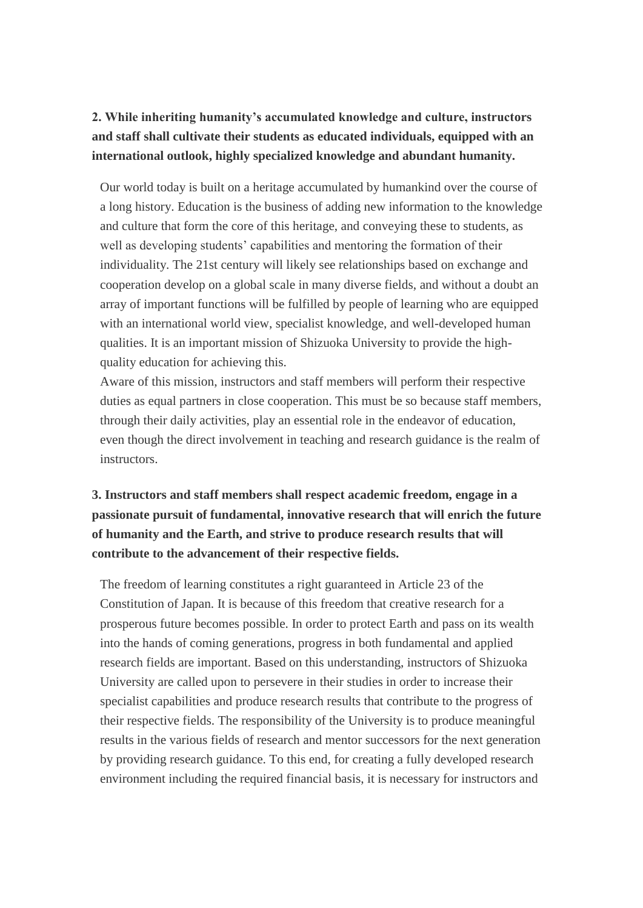## **2. While inheriting humanity's accumulated knowledge and culture, instructors and staff shall cultivate their students as educated individuals, equipped with an international outlook, highly specialized knowledge and abundant humanity.**

Our world today is built on a heritage accumulated by humankind over the course of a long history. Education is the business of adding new information to the knowledge and culture that form the core of this heritage, and conveying these to students, as well as developing students' capabilities and mentoring the formation of their individuality. The 21st century will likely see relationships based on exchange and cooperation develop on a global scale in many diverse fields, and without a doubt an array of important functions will be fulfilled by people of learning who are equipped with an international world view, specialist knowledge, and well-developed human qualities. It is an important mission of Shizuoka University to provide the highquality education for achieving this.

Aware of this mission, instructors and staff members will perform their respective duties as equal partners in close cooperation. This must be so because staff members, through their daily activities, play an essential role in the endeavor of education, even though the direct involvement in teaching and research guidance is the realm of instructors.

# **3. Instructors and staff members shall respect academic freedom, engage in a passionate pursuit of fundamental, innovative research that will enrich the future of humanity and the Earth, and strive to produce research results that will contribute to the advancement of their respective fields.**

The freedom of learning constitutes a right guaranteed in Article 23 of the Constitution of Japan. It is because of this freedom that creative research for a prosperous future becomes possible. In order to protect Earth and pass on its wealth into the hands of coming generations, progress in both fundamental and applied research fields are important. Based on this understanding, instructors of Shizuoka University are called upon to persevere in their studies in order to increase their specialist capabilities and produce research results that contribute to the progress of their respective fields. The responsibility of the University is to produce meaningful results in the various fields of research and mentor successors for the next generation by providing research guidance. To this end, for creating a fully developed research environment including the required financial basis, it is necessary for instructors and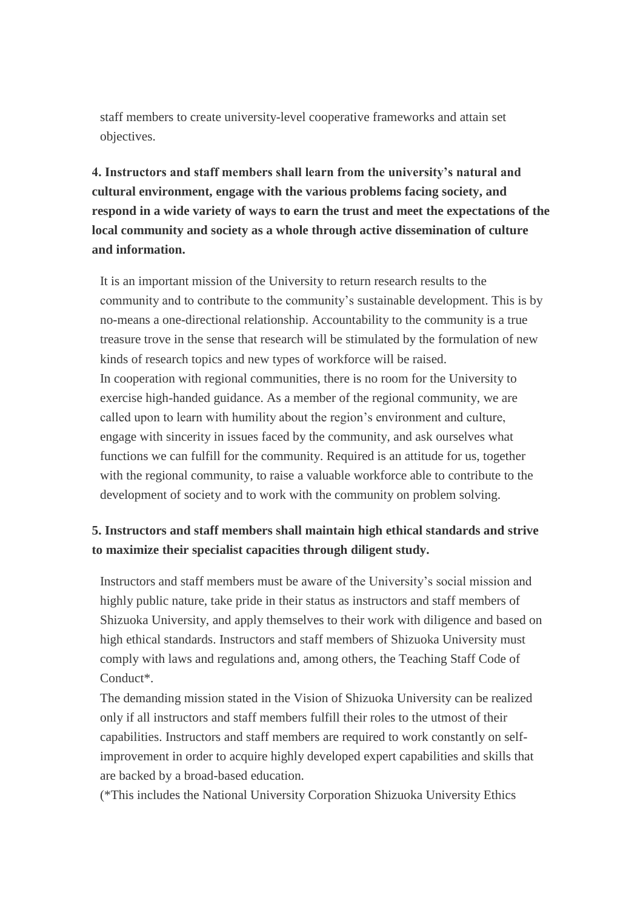staff members to create university-level cooperative frameworks and attain set objectives.

**4. Instructors and staff members shall learn from the university's natural and cultural environment, engage with the various problems facing society, and respond in a wide variety of ways to earn the trust and meet the expectations of the local community and society as a whole through active dissemination of culture and information.**

It is an important mission of the University to return research results to the community and to contribute to the community's sustainable development. This is by no-means a one-directional relationship. Accountability to the community is a true treasure trove in the sense that research will be stimulated by the formulation of new kinds of research topics and new types of workforce will be raised. In cooperation with regional communities, there is no room for the University to exercise high-handed guidance. As a member of the regional community, we are called upon to learn with humility about the region's environment and culture, engage with sincerity in issues faced by the community, and ask ourselves what functions we can fulfill for the community. Required is an attitude for us, together with the regional community, to raise a valuable workforce able to contribute to the development of society and to work with the community on problem solving.

#### **5. Instructors and staff members shall maintain high ethical standards and strive to maximize their specialist capacities through diligent study.**

Instructors and staff members must be aware of the University's social mission and highly public nature, take pride in their status as instructors and staff members of Shizuoka University, and apply themselves to their work with diligence and based on high ethical standards. Instructors and staff members of Shizuoka University must comply with laws and regulations and, among others, the Teaching Staff Code of Conduct\*.

The demanding mission stated in the Vision of Shizuoka University can be realized only if all instructors and staff members fulfill their roles to the utmost of their capabilities. Instructors and staff members are required to work constantly on selfimprovement in order to acquire highly developed expert capabilities and skills that are backed by a broad-based education.

(\*This includes the National University Corporation Shizuoka University Ethics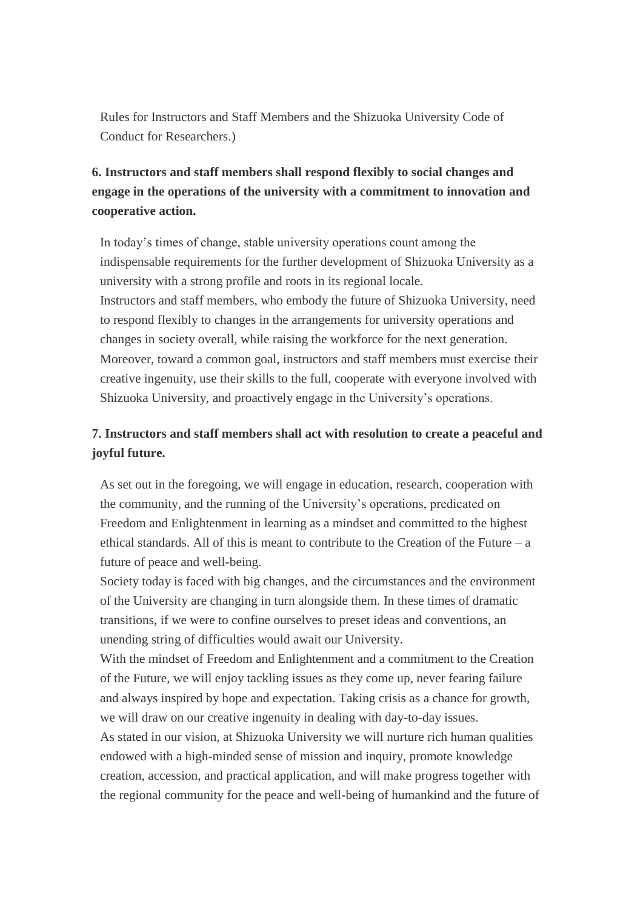Rules for Instructors and Staff Members and the Shizuoka University Code of Conduct for Researchers.)

## **6. Instructors and staff members shall respond flexibly to social changes and engage in the operations of the university with a commitment to innovation and cooperative action.**

In today's times of change, stable university operations count among the indispensable requirements for the further development of Shizuoka University as a university with a strong profile and roots in its regional locale. Instructors and staff members, who embody the future of Shizuoka University, need to respond flexibly to changes in the arrangements for university operations and changes in society overall, while raising the workforce for the next generation. Moreover, toward a common goal, instructors and staff members must exercise their creative ingenuity, use their skills to the full, cooperate with everyone involved with Shizuoka University, and proactively engage in the University's operations.

### **7. Instructors and staff members shall act with resolution to create a peaceful and joyful future.**

As set out in the foregoing, we will engage in education, research, cooperation with the community, and the running of the University's operations, predicated on Freedom and Enlightenment in learning as a mindset and committed to the highest ethical standards. All of this is meant to contribute to the Creation of the Future – a future of peace and well-being.

Society today is faced with big changes, and the circumstances and the environment of the University are changing in turn alongside them. In these times of dramatic transitions, if we were to confine ourselves to preset ideas and conventions, an unending string of difficulties would await our University.

With the mindset of Freedom and Enlightenment and a commitment to the Creation of the Future, we will enjoy tackling issues as they come up, never fearing failure and always inspired by hope and expectation. Taking crisis as a chance for growth, we will draw on our creative ingenuity in dealing with day-to-day issues.

As stated in our vision, at Shizuoka University we will nurture rich human qualities endowed with a high-minded sense of mission and inquiry, promote knowledge creation, accession, and practical application, and will make progress together with the regional community for the peace and well-being of humankind and the future of